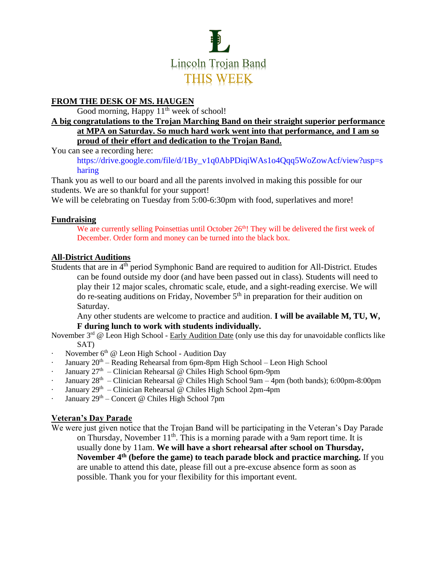

## **FROM THE DESK OF MS. HAUGEN**

Good morning, Happy  $11<sup>th</sup>$  week of school!

#### **A big congratulations to the Trojan Marching Band on their straight superior performance at MPA on Saturday. So much hard work went into that performance, and I am so proud of their effort and dedication to the Trojan Band.**

You can see a recording here:

[https://drive.google.com/file/d/1By\\_v1q0AbPDiqiWAs1o4Qqq5WoZowAcf/view?usp=s](https://drive.google.com/file/d/1By_v1q0AbPDiqiWAs1o4Qqq5WoZowAcf/view?usp=sharing) [haring](https://drive.google.com/file/d/1By_v1q0AbPDiqiWAs1o4Qqq5WoZowAcf/view?usp=sharing)

Thank you as well to our board and all the parents involved in making this possible for our students. We are so thankful for your support!

We will be celebrating on Tuesday from 5:00-6:30pm with food, superlatives and more!

## **Fundraising**

We are currently selling Poinsettias until October  $26<sup>th</sup>$ ! They will be delivered the first week of December. Order form and money can be turned into the black box.

## **All-District Auditions**

Students that are in 4<sup>th</sup> period Symphonic Band are required to audition for All-District. Etudes can be found outside my door (and have been passed out in class). Students will need to play their 12 major scales, chromatic scale, etude, and a sight-reading exercise. We will do re-seating auditions on Friday, November  $5<sup>th</sup>$  in preparation for their audition on Saturday.

Any other students are welcome to practice and audition. **I will be available M, TU, W, F during lunch to work with students individually.** 

November  $3^{rd}$  @ Leon High School - Early Audition Date (only use this day for unavoidable conflicts like SAT)

- November  $6<sup>th</sup>$  @ Leon High School Audition Day
- January 20<sup>th</sup> Reading Rehearsal from 6pm-8pm High School Leon High School
- **January**  $27<sup>th</sup>$  Clinician Rehearsal @ Chiles High School 6pm-9pm
- January 28<sup>th</sup> Clinician Rehearsal @ Chiles High School 9am 4pm (both bands); 6:00pm-8:00pm
- January 29<sup>th</sup> Clinician Rehearsal @ Chiles High School 2pm-4pm
- January 29<sup>th</sup> Concert @ Chiles High School 7pm

## **Veteran's Day Parade**

We were just given notice that the Trojan Band will be participating in the Veteran's Day Parade on Thursday, November  $11<sup>th</sup>$ . This is a morning parade with a 9am report time. It is usually done by 11am. **We will have a short rehearsal after school on Thursday, November 4th (before the game) to teach parade block and practice marching.** If you are unable to attend this date, please fill out a pre-excuse absence form as soon as possible. Thank you for your flexibility for this important event.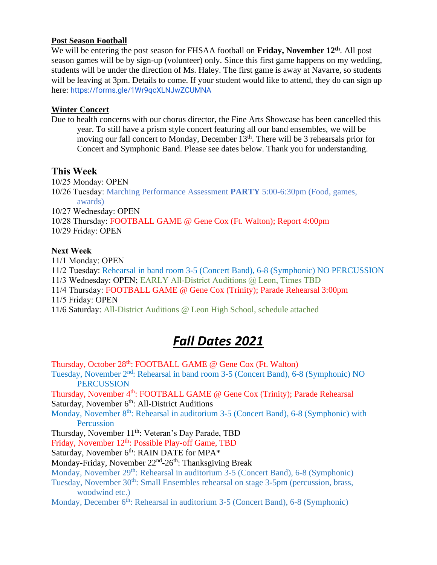#### **Post Season Football**

We will be entering the post season for FHSAA football on Friday, November 12<sup>th</sup>. All post season games will be by sign-up (volunteer) only. Since this first game happens on my wedding, students will be under the direction of Ms. Haley. The first game is away at Navarre, so students will be leaving at 3pm. Details to come. If your student would like to attend, they do can sign up here: <https://forms.gle/1Wr9qcXLNJwZCUMNA>

#### **Winter Concert**

Due to health concerns with our chorus director, the Fine Arts Showcase has been cancelled this year. To still have a prism style concert featuring all our band ensembles, we will be moving our fall concert to Monday, December 13<sup>th</sup>. There will be 3 rehearsals prior for Concert and Symphonic Band. Please see dates below. Thank you for understanding.

#### **This Week**

10/25 Monday: OPEN 10/26 Tuesday: Marching Performance Assessment **PARTY** 5:00-6:30pm (Food, games, awards)

10/27 Wednesday: OPEN

10/28 Thursday: FOOTBALL GAME @ Gene Cox (Ft. Walton); Report 4:00pm 10/29 Friday: OPEN

#### **Next Week**

11/1 Monday: OPEN 11/2 Tuesday: Rehearsal in band room 3-5 (Concert Band), 6-8 (Symphonic) NO PERCUSSION 11/3 Wednesday: OPEN; EARLY All-District Auditions @ Leon, Times TBD 11/4 Thursday: FOOTBALL GAME @ Gene Cox (Trinity); Parade Rehearsal 3:00pm 11/5 Friday: OPEN 11/6 Saturday: All-District Auditions @ Leon High School, schedule attached

# *Fall Dates 2021*

Thursday, October 28<sup>th</sup>: FOOTBALL GAME @ Gene Cox (Ft. Walton) Tuesday, November 2nd: Rehearsal in band room 3-5 (Concert Band), 6-8 (Symphonic) NO PERCUSSION Thursday, November 4<sup>th</sup>: FOOTBALL GAME @ Gene Cox (Trinity); Parade Rehearsal Saturday, November  $6<sup>th</sup>$ : All-District Auditions Monday, November 8<sup>th</sup>: Rehearsal in auditorium 3-5 (Concert Band), 6-8 (Symphonic) with Percussion Thursday, November 11<sup>th</sup>: Veteran's Day Parade, TBD Friday, November 12<sup>th</sup>: Possible Play-off Game, TBD Saturday, November  $6<sup>th</sup>$ : RAIN DATE for MPA $*$ Monday-Friday, November 22<sup>nd</sup>-26<sup>th</sup>: Thanksgiving Break Monday, November 29<sup>th</sup>: Rehearsal in auditorium 3-5 (Concert Band), 6-8 (Symphonic) Tuesday, November 30<sup>th</sup>: Small Ensembles rehearsal on stage 3-5pm (percussion, brass, woodwind etc.) Monday, December  $6<sup>th</sup>$ : Rehearsal in auditorium 3-5 (Concert Band), 6-8 (Symphonic)